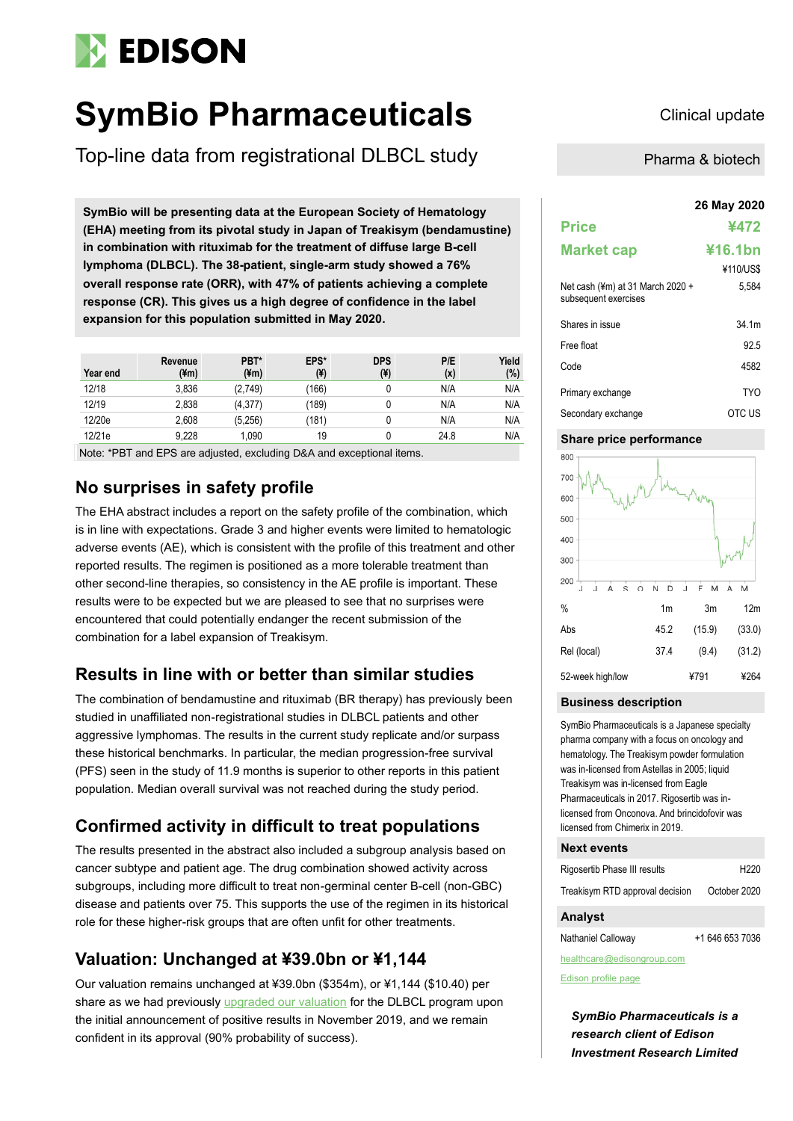# **EDISON**

# **SymBio Pharmaceuticals** Clinical update

Top-line data from registrational DLBCL study

**26 May 2020 SymBio will be presenting data at the European Society of Hematology (EHA) meeting from its pivotal study in Japan of Treakisym (bendamustine) in combination with rituximab for the treatment of diffuse large B-cell lymphoma (DLBCL). The 38-patient, single-arm study showed a 76% overall response rate (ORR), with 47% of patients achieving a complete response (CR). This gives us a high degree of confidence in the label expansion for this population submitted in May 2020.**

| Year end | Revenue<br>(¥m) | PBT*<br>$(\text{4m})$ | EPS*<br>$(\yen)$ | <b>DPS</b><br>$(\yen)$ | P/E<br>(x) | Yield<br>(%) |
|----------|-----------------|-----------------------|------------------|------------------------|------------|--------------|
| 12/18    | 3,836           | (2,749)               | (166)            |                        | N/A        | N/A          |
| 12/19    | 2,838           | (4,377)               | (189)            |                        | N/A        | N/A          |
| 12/20e   | 2,608           | (5,256)               | (181)            |                        | N/A        | N/A          |
| 12/21e   | 9.228           | 1.090                 | 19               |                        | 24.8       | N/A          |

Note: \*PBT and EPS are adjusted, excluding D&A and exceptional items.

## **No surprises in safety profile**

The EHA abstract includes a report on the safety profile of the combination, which is in line with expectations. Grade 3 and higher events were limited to hematologic adverse events (AE), which is consistent with the profile of this treatment and other reported results. The regimen is positioned as a more tolerable treatment than other second-line therapies, so consistency in the AE profile is important. These results were to be expected but we are pleased to see that no surprises were encountered that could potentially endanger the recent submission of the combination for a label expansion of Treakisym.

# **Results in line with or better than similar studies**

The combination of bendamustine and rituximab (BR therapy) has previously been studied in unaffiliated non-registrational studies in DLBCL patients and other aggressive lymphomas. The results in the current study replicate and/or surpass these historical benchmarks. In particular, the median progression-free survival (PFS) seen in the study of 11.9 months is superior to other reports in this patient population. Median overall survival was not reached during the study period.

# **Confirmed activity in difficult to treat populations**

The results presented in the abstract also included a subgroup analysis based on cancer subtype and patient age. The drug combination showed activity across subgroups, including more difficult to treat non-germinal center B-cell (non-GBC) disease and patients over 75. This supports the use of the regimen in its historical role for these higher-risk groups that are often unfit for other treatments.

# **Valuation: Unchanged at ¥39.0bn or ¥1,144**

Our valuation remains unchanged at ¥39.0bn (\$354m), or ¥1,144 (\$10.40) per share as we had previously [upgraded our valuation](https://www.edisongroup.com/publication/treakisym-has-positive-dlbcl-results/25734/) for the DLBCL program upon the initial announcement of positive results in November 2019, and we remain confident in its approval (90% probability of success).

Pharma & biotech

|                                                          | 26 May 2020 |  |  |  |  |
|----------------------------------------------------------|-------------|--|--|--|--|
| <b>Price</b>                                             | ¥472        |  |  |  |  |
| <b>Market cap</b>                                        | ¥16.1bn     |  |  |  |  |
|                                                          | ¥110/US\$   |  |  |  |  |
| Net cash (¥m) at 31 March 2020 +<br>subsequent exercises | 5.584       |  |  |  |  |
| Shares in issue                                          | 34 1m       |  |  |  |  |
| Free float                                               | 92.5        |  |  |  |  |
| Code                                                     | 4582        |  |  |  |  |
| Primary exchange                                         | TYO         |  |  |  |  |
| Secondary exchange                                       | OTC US      |  |  |  |  |

## **Share price performance**



## **Business description**

SymBio Pharmaceuticals is a Japanese specialty pharma company with a focus on oncology and hematology. The Treakisym powder formulation was in-licensed from Astellas in 2005; liquid Treakisym was in-licensed from Eagle Pharmaceuticals in 2017. Rigosertib was inlicensed from Onconova. And brincidofovir was licensed from Chimerix in 2019.

## **Next events**

| Rigosertib Phase III results    | H <sub>220</sub> |
|---------------------------------|------------------|
| Treakisym RTD approval decision | October 2020     |

## **Analyst**

Nathaniel Calloway +1 646 653 7036

healthcare@edisongroup.com

[Edison profile page](https://www.edisongroup.com/company/symbio-pharmaceuticals/2010/)

*SymBio Pharmaceuticals is a research client of Edison Investment Research Limited*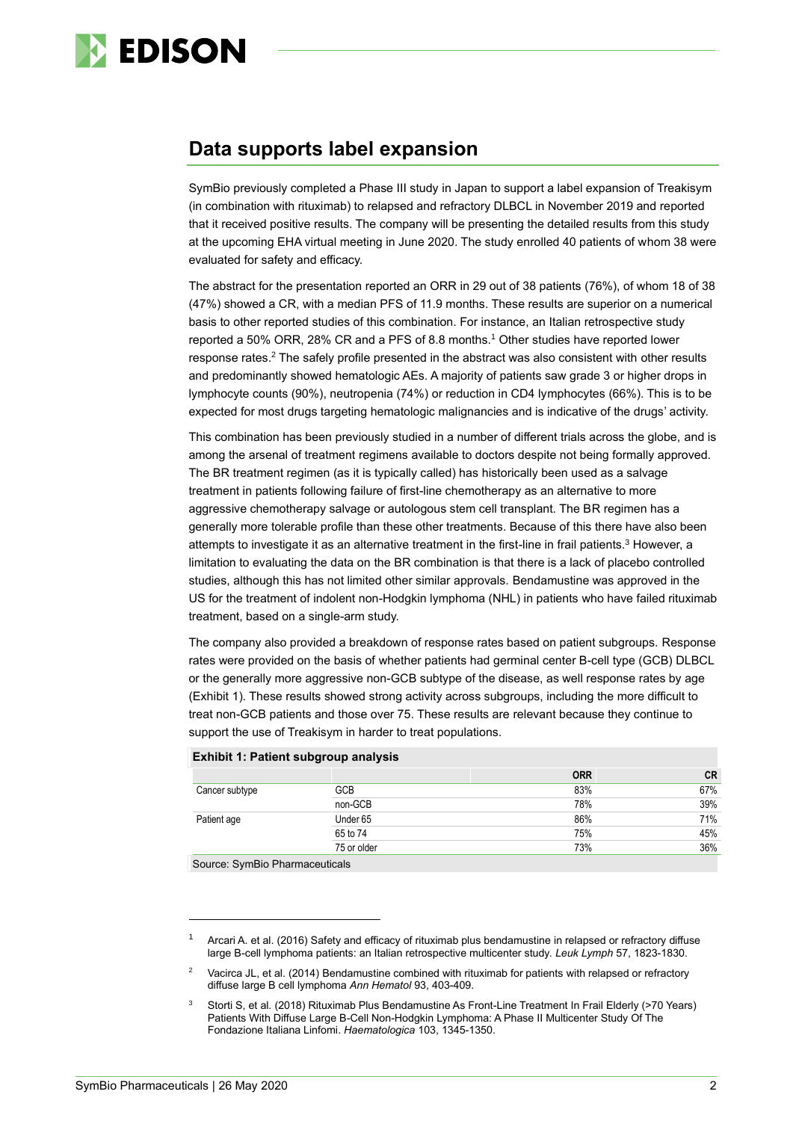

# **Data supports label expansion**

SymBio previously completed a Phase III study in Japan to support a label expansion of Treakisym (in combination with rituximab) to relapsed and refractory DLBCL in November 2019 and reported that it received positive results. The company will be presenting the detailed results from this study at the upcoming EHA virtual meeting in June 2020. The study enrolled 40 patients of whom 38 were evaluated for safety and efficacy.

The abstract for the presentation reported an ORR in 29 out of 38 patients (76%), of whom 18 of 38 (47%) showed a CR, with a median PFS of 11.9 months. These results are superior on a numerical basis to other reported studies of this combination. For instance, an Italian retrospective study reported a 50% ORR, 28% CR and a PFS of 8.8 months.<sup>1</sup> Other studies have reported lower response rates.<sup>2</sup> The safely profile presented in the abstract was also consistent with other results and predominantly showed hematologic AEs. A majority of patients saw grade 3 or higher drops in lymphocyte counts (90%), neutropenia (74%) or reduction in CD4 lymphocytes (66%). This is to be expected for most drugs targeting hematologic malignancies and is indicative of the drugs' activity.

This combination has been previously studied in a number of different trials across the globe, and is among the arsenal of treatment regimens available to doctors despite not being formally approved. The BR treatment regimen (as it is typically called) has historically been used as a salvage treatment in patients following failure of first-line chemotherapy as an alternative to more aggressive chemotherapy salvage or autologous stem cell transplant. The BR regimen has a generally more tolerable profile than these other treatments. Because of this there have also been attempts to investigate it as an alternative treatment in the first-line in frail patients.<sup>3</sup> However, a limitation to evaluating the data on the BR combination is that there is a lack of placebo controlled studies, although this has not limited other similar approvals. Bendamustine was approved in the US for the treatment of indolent non-Hodgkin lymphoma (NHL) in patients who have failed rituximab treatment, based on a single-arm study.

The company also provided a breakdown of response rates based on patient subgroups. Response rates were provided on the basis of whether patients had germinal center B-cell type (GCB) DLBCL or the generally more aggressive non-GCB subtype of the disease, as well response rates by age (Exhibit 1). These results showed strong activity across subgroups, including the more difficult to treat non-GCB patients and those over 75. These results are relevant because they continue to support the use of Treakisym in harder to treat populations.

|                |             | <b>ORR</b> | <b>CR</b> |
|----------------|-------------|------------|-----------|
| Cancer subtype | <b>GCB</b>  | 83%        | 67%       |
|                | non-GCB     | 78%        | 39%       |
| Patient age    | Under 65    | 86%        | 71%       |
|                | 65 to 74    | 75%        | 45%       |
|                | 75 or older | 73%        | 36%       |

## **Exhibit 1: Patient subgroup analysis**

Source: SymBio Pharmaceuticals

Arcari A. et al. (2016) Safety and efficacy of rituximab plus bendamustine in relapsed or refractory diffuse large B-cell lymphoma patients: an Italian retrospective multicenter study. *Leuk Lymph* 57, 1823-1830.

<sup>2</sup> Vacirca JL, et al. (2014) Bendamustine combined with rituximab for patients with relapsed or refractory diffuse large B cell lymphoma *Ann Hematol* 93, 403-409.

Storti S, et al. (2018) Rituximab Plus Bendamustine As Front-Line Treatment In Frail Elderly (>70 Years) Patients With Diffuse Large B-Cell Non-Hodgkin Lymphoma: A Phase II Multicenter Study Of The Fondazione Italiana Linfomi. *Haematologica* 103, 1345-1350.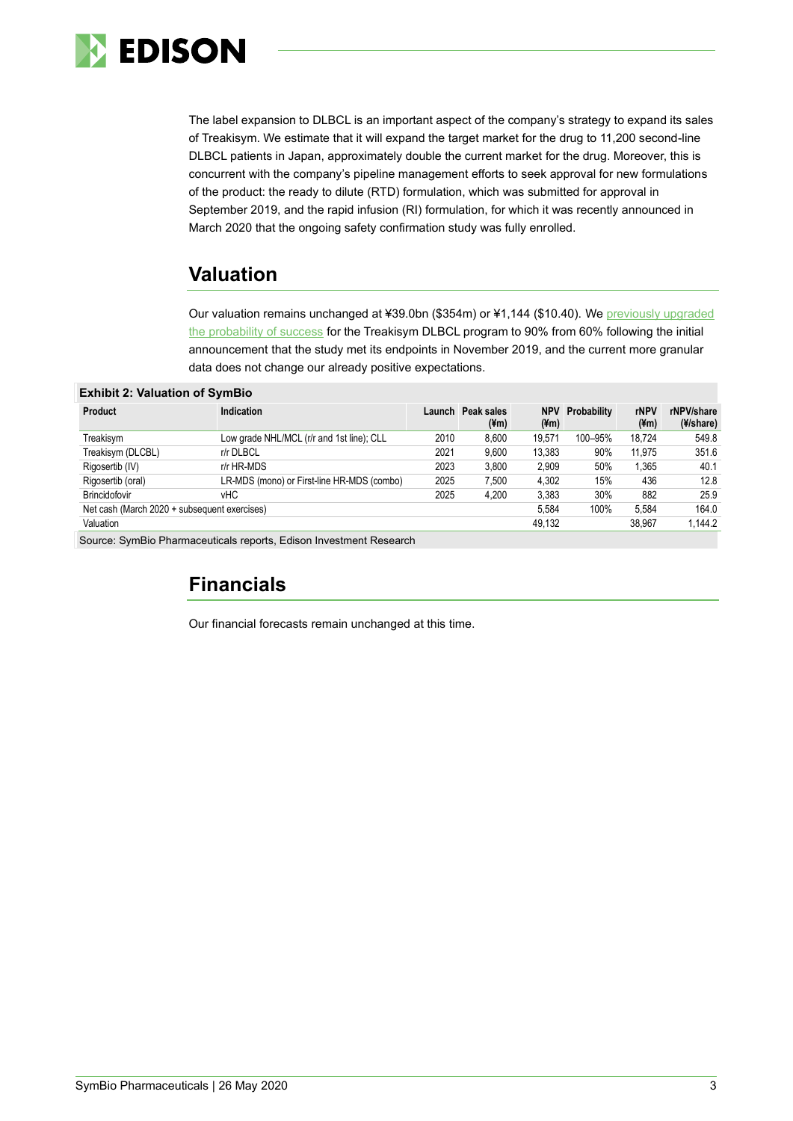

The label expansion to DLBCL is an important aspect of the company's strategy to expand its sales of Treakisym. We estimate that it will expand the target market for the drug to 11,200 second-line DLBCL patients in Japan, approximately double the current market for the drug. Moreover, this is concurrent with the company's pipeline management efforts to seek approval for new formulations of the product: the ready to dilute (RTD) formulation, which was submitted for approval in September 2019, and the rapid infusion (RI) formulation, for which it was recently announced in March 2020 that the ongoing safety confirmation study was fully enrolled.

# **Valuation**

Our valuation remains unchanged at ¥39.0bn (\$354m) or ¥1,144 (\$10.40). We [previously upgraded](https://www.edisongroup.com/publication/treakisym-has-positive-dlbcl-results/25734/)  [the probability of success](https://www.edisongroup.com/publication/treakisym-has-positive-dlbcl-results/25734/) for the Treakisym DLBCL program to 90% from 60% following the initial announcement that the study met its endpoints in November 2019, and the current more granular data does not change our already positive expectations.

## **Exhibit 2: Valuation of SymBio**

| <b>Product</b>                               | Indication                                 | Launch | Peak sales<br>$(\text{4m})$ | $(\text{m})$ | <b>NPV Probability</b> | rNPV<br>$(\yen m)$ | rNPV/share<br>(4/share) |
|----------------------------------------------|--------------------------------------------|--------|-----------------------------|--------------|------------------------|--------------------|-------------------------|
| Treakisym                                    | Low grade NHL/MCL (r/r and 1st line); CLL  | 2010   | 8.600                       | 19.571       | 100-95%                | 18.724             | 549.8                   |
| Treakisym (DLCBL)                            | r/r DLBCL                                  | 2021   | 9.600                       | 13.383       | 90%                    | 11.975             | 351.6                   |
| Rigosertib (IV)                              | r/r HR-MDS                                 | 2023   | 3,800                       | 2.909        | 50%                    | 1,365              | 40.1                    |
| Rigosertib (oral)                            | LR-MDS (mono) or First-line HR-MDS (combo) | 2025   | 7,500                       | 4,302        | 15%                    | 436                | 12.8                    |
| Brincidofovir                                | vНC                                        | 2025   | 4.200                       | 3.383        | 30%                    | 882                | 25.9                    |
| Net cash (March 2020 + subsequent exercises) |                                            |        |                             | 5.584        | 100%                   | 5.584              | 164.0                   |
| Valuation                                    |                                            |        |                             | 49.132       |                        | 38.967             | 1.144.2                 |

Source: SymBio Pharmaceuticals reports, Edison Investment Research

# **Financials**

Our financial forecasts remain unchanged at this time.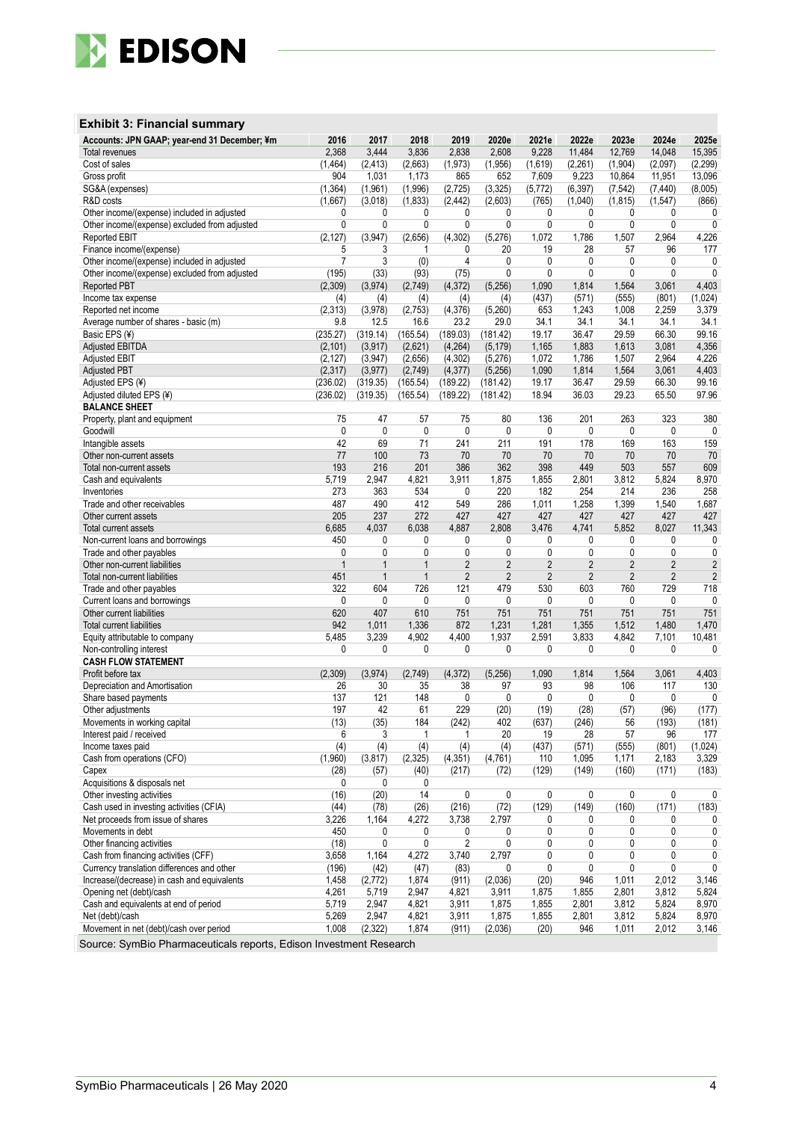

## **Exhibit 3: Financial summary**

| Accounts: JPN GAAP; year-end 31 December; ¥m                           | 2016           | 2017         | 2018         | 2019           | 2020e          | 2021e          | 2022e          | 2023e          | 2024e          | 2025e          |
|------------------------------------------------------------------------|----------------|--------------|--------------|----------------|----------------|----------------|----------------|----------------|----------------|----------------|
| <b>Total revenues</b>                                                  | 2,368          | 3,444        | 3,836        | 2,838          | 2,608          | 9,228          | 11,484         | 12,769         | 14,048         | 15,395         |
| Cost of sales                                                          | (1, 464)       | (2, 413)     | (2,663)      | (1, 973)       | (1,956)        | (1,619)        | (2,261)        | (1,904)        | (2,097)        | (2, 299)       |
| Gross profit                                                           | 904            | 1,031        | 1,173        | 865            | 652            | 7,609          | 9,223          | 10,864         | 11,951         | 13,096         |
| SG&A (expenses)                                                        | (1, 364)       | (1,961)      | (1,996)      | (2,725)        | (3, 325)       | (5, 772)       | (6, 397)       | (7, 542)       | (7, 440)       | (8,005)        |
| R&D costs                                                              | (1,667)        | (3,018)      | (1, 833)     | (2.442)        | (2,603)        | (765)          | (1,040)        | (1, 815)       | (1,547)        | (866)          |
| Other income/(expense) included in adjusted                            | 0              | 0            | 0            | 0              | 0              | 0              | 0              | 0              | 0              | 0              |
| Other income/(expense) excluded from adjusted                          | 0              | 0            | 0            | 0              | 0              | $\mathbf 0$    | $\mathbf{0}$   | 0              | 0              | 0              |
| <b>Reported EBIT</b>                                                   | (2, 127)       | (3,947)      | (2,656)      | (4, 302)       | (5,276)        | 1,072          | 1,786          | 1,507          | 2,964          | 4,226          |
| Finance income/(expense)                                               | 5              | 3            | 1            | 0              | 20             | 19             | 28             | 57             | 96             | 177            |
| Other income/(expense) included in adjusted                            | $\overline{7}$ | 3            | (0)          | $\overline{4}$ | 0              | 0              | 0              | 0              | 0              | 0              |
| Other income/(expense) excluded from adjusted                          | (195)          | (33)         | (93)         | (75)           | 0              | $\mathbf 0$    | $\mathbf{0}$   | 0              | 0              | $\mathbf 0$    |
| <b>Reported PBT</b>                                                    | (2,309)        | (3, 974)     | (2,749)      | (4,372)        | (5,256)        | 1,090          | 1,814          | 1,564          | 3,061          | 4,403          |
| Income tax expense                                                     | (4)            | (4)          | (4)          | (4)            | (4)            | (437)          | (571)          | (555)          | (801)          | (1,024)        |
| Reported net income                                                    | (2,313)        | (3,978)      | (2,753)      | (4,376)        | (5,260)        | 653            | 1,243          | 1,008          | 2,259          | 3,379          |
| Average number of shares - basic (m)                                   | 9.8            | 12.5         | 16.6         | 23.2           | 29.0           | 34.1           | 34.1           | 34.1           | 34.1           | 34.1           |
| Basic EPS (¥)                                                          | (235.27)       | (319.14)     | (165.54)     | (189.03)       | (181.42)       | 19.17          | 36.47          | 29.59          | 66.30          | 99.16          |
| <b>Adjusted EBITDA</b>                                                 | (2, 101)       | (3, 917)     | (2,621)      | (4,264)        | (5, 179)       | 1,165          | 1,883          | 1,613          | 3,081          | 4,356          |
| <b>Adjusted EBIT</b>                                                   | (2, 127)       | (3,947)      | (2,656)      | (4, 302)       | (5,276)        | 1,072          | 1,786          | 1,507          | 2,964          | 4,226          |
| <b>Adjusted PBT</b>                                                    | (2,317)        | (3, 977)     | (2,749)      | (4, 377)       | (5,256)        | 1,090          | 1,814          | 1,564          | 3,061          | 4,403          |
|                                                                        |                |              |              |                |                |                |                |                |                |                |
| Adjusted EPS (¥)                                                       | (236.02)       | (319.35)     | (165.54)     | (189.22)       | (181.42)       | 19.17          | 36.47          | 29.59          | 66.30          | 99.16          |
| Adjusted diluted EPS (¥)                                               | (236.02)       | (319.35)     | (165.54)     | (189.22)       | (181.42)       | 18.94          | 36.03          | 29.23          | 65.50          | 97.96          |
| <b>BALANCE SHEET</b>                                                   |                |              |              |                |                |                |                |                |                |                |
| Property, plant and equipment                                          | 75             | 47           | 57           | 75             | 80             | 136            | 201            | 263            | 323            | 380            |
| Goodwill                                                               | $\mathbf{0}$   | $\mathbf{0}$ | $\mathbf{0}$ | 0              | 0              | 0              | 0              | 0              | 0              | 0              |
| Intangible assets                                                      | 42             | 69           | 71           | 241            | 211            | 191            | 178            | 169            | 163            | 159            |
| Other non-current assets                                               | 77             | 100          | 73           | 70             | 70             | 70             | 70             | 70             | 70             | 70             |
| Total non-current assets                                               | 193            | 216          | 201          | 386            | 362            | 398            | 449            | 503            | 557            | 609            |
| Cash and equivalents                                                   | 5,719          | 2,947        | 4,821        | 3,911          | 1,875          | 1,855          | 2,801          | 3,812          | 5,824          | 8,970          |
| Inventories                                                            | 273            | 363          | 534          | 0              | 220            | 182            | 254            | 214            | 236            | 258            |
| Trade and other receivables                                            | 487            | 490          | 412          | 549            | 286            | 1,011          | 1,258          | 1,399          | 1,540          | 1,687          |
| Other current assets                                                   | 205            | 237          | 272          | 427            | 427            | 427            | 427            | 427            | 427            | 427            |
| Total current assets                                                   | 6,685          | 4,037        | 6,038        | 4,887          | 2,808          | 3,476          | 4,741          | 5,852          | 8,027          | 11,343         |
| Non-current loans and borrowings                                       | 450            | 0            | 0            | 0              | 0              | 0              | 0              | 0              | 0              | 0              |
| Trade and other payables                                               | 0              | 0            | 0            | 0              | 0              | $\mathbf 0$    | 0              | 0              | 0              | 0              |
| Other non-current liabilities                                          | $\mathbf{1}$   | $\mathbf{1}$ | $\mathbf{1}$ | $\overline{2}$ | $\overline{2}$ | $\overline{2}$ | $\overline{2}$ | $\overline{2}$ | $\overline{2}$ | 2              |
| Total non-current liabilities                                          | 451            | $\mathbf{1}$ | $\mathbf{1}$ | $\overline{2}$ | $\overline{2}$ | $\overline{2}$ | $\overline{2}$ | $\overline{2}$ | $\overline{2}$ | $\overline{2}$ |
| Trade and other payables                                               | 322            | 604          | 726          | 121            | 479            | 530            | 603            | 760            | 729            | 718            |
| Current loans and borrowings                                           | 0              | 0            | 0            | 0              | 0              | 0              | 0              | 0              | 0              | 0              |
| Other current liabilities                                              | 620            | 407          | 610          | 751            | 751            | 751            | 751            | 751            | 751            | 751            |
| Total current liabilities                                              | 942            | 1,011        | 1,336        | 872            | 1,231          | 1,281          | 1,355          | 1,512          | 1,480          | 1,470          |
| Equity attributable to company                                         | 5,485          | 3,239        | 4,902        | 4,400          | 1,937          | 2,591          | 3,833          | 4,842          | 7,101          | 10,481         |
| Non-controlling interest                                               | 0              | 0            | 0            | 0              | 0              | 0              | 0              | 0              | 0              | 0              |
| <b>CASH FLOW STATEMENT</b>                                             |                |              |              |                |                |                |                |                |                |                |
| Profit before tax                                                      | (2,309)        | (3,974)      | (2,749)      | (4, 372)       | (5,256)        | 1,090          | 1,814          | 1,564          | 3,061          | 4,403          |
| Depreciation and Amortisation                                          | 26             | 30           | 35           | 38             | 97             | 93             | 98             | 106            | 117            | 130            |
| Share based payments                                                   | 137            | 121          | 148          | 0              | 0              | 0              | 0              | 0              | 0              | 0              |
| Other adjustments                                                      | 197            | 42           | 61           | 229            | (20)           | (19)           | (28)           | (57)           | (96)           | (177)          |
| Movements in working capital                                           | (13)           | (35)         | 184          | (242)          | 402            | (637)          | (246)          | 56             | (193)          | (181)          |
| Interest paid / received                                               | 6              | 3            | 1            | 1              | 20             | 19             | 28             | 57             | 96             | 177            |
| Income taxes paid                                                      | (4)            | (4)          | (4)          | (4)            | (4)            | (437)          | (571)          | (555)          | (801)          | (1,024)        |
| Cash from operations (CFO)                                             | (1,960)        | (3, 817)     | (2, 325)     | (4, 351)       | (4,761)        | 110            | 1,095          | 1,171          | 2,183          | 3,329          |
| Capex                                                                  | (28)           | (57)         | (40)         | (217)          | (72)           | (129)          | (149)          | (160)          | (171)          | (183)          |
| Acquisitions & disposals net                                           | 0              |              | 0            |                |                |                |                |                |                |                |
|                                                                        |                | 0            |              |                | 0              |                | 0              | 0              |                |                |
| Other investing activities<br>Cash used in investing activities (CFIA) | (16)           | (20)         | 14           | 0              |                | 0              |                |                | 0              | 0              |
|                                                                        | (44)           | (78)         | (26)         | (216)          | (72)           | (129)          | (149)          | (160)          | (171)          | (183)          |
| Net proceeds from issue of shares                                      | 3,226          | 1,164        | 4,272        | 3,738          | 2,797          | 0              | 0              | 0              | 0              | 0              |
| Movements in debt                                                      | 450            | 0            | 0            | 0              | 0              | 0              | 0              | 0              | 0              | 0              |
| Other financing activities                                             | (18)           | 0            | 0            | $\overline{2}$ | 0              | 0              | 0              | 0              | 0              | 0              |
| Cash from financing activities (CFF)                                   | 3,658          | 1,164        | 4,272        | 3,740          | 2,797          | $\pmb{0}$      | 0              | 0              | 0              | 0              |
| Currency translation differences and other                             | (196)          | (42)         | (47)         | (83)           | 0              | 0              | 0              | 0              | 0              | 0              |
| Increase/(decrease) in cash and equivalents                            | 1,458          | (2, 772)     | 1,874        | (911)          | (2,036)        | (20)           | 946            | 1,011          | 2,012          | 3,146          |
| Opening net (debt)/cash                                                | 4,261          | 5,719        | 2,947        | 4,821          | 3,911          | 1,875          | 1,855          | 2,801          | 3,812          | 5,824          |
| Cash and equivalents at end of period                                  | 5,719          | 2,947        | 4,821        | 3,911          | 1,875          | 1,855          | 2,801          | 3,812          | 5,824          | 8,970          |
| Net (debt)/cash                                                        | 5,269          | 2,947        | 4,821        | 3,911          | 1,875          | 1,855          | 2,801          | 3,812          | 5,824          | 8,970          |
| Movement in net (debt)/cash over period                                | 1,008          | (2, 322)     | 1,874        | (911)          | (2,036)        | (20)           | 946            | 1,011          | 2,012          | 3,146          |
|                                                                        |                |              |              |                |                |                |                |                |                |                |

Source: SymBio Pharmaceuticals reports, Edison Investment Research